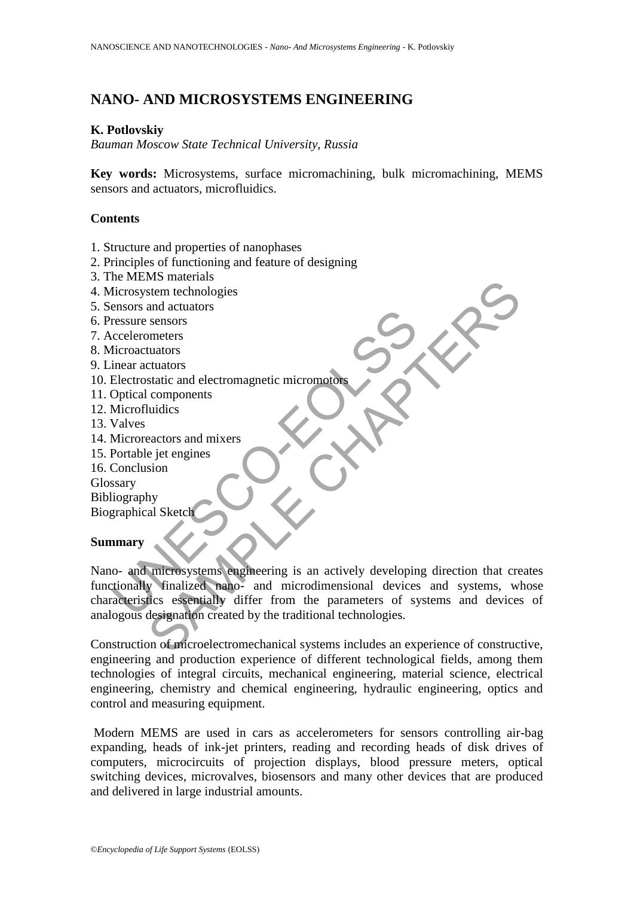# **NANO- AND MICROSYSTEMS ENGINEERING**

### **K. Potlovskiy**

*Bauman Moscow State Technical University, Russia*

**Key words:** Microsystems, surface micromachining, bulk micromachining, MEMS sensors and actuators, microfluidics.

### **Contents**

- 1. Structure and properties of nanophases
- 2. Principles of functioning and feature of designing
- 3. The MEMS materials
- 4. Microsystem technologies
- 5. Sensors and actuators
- 6. Pressure sensors
- 7. Accelerometers
- 8. Microactuators
- 9. Linear actuators
- 10. Electrostatic and electromagnetic micromotors
- 11. Optical components
- 12. Microfluidics
- 13. Valves
- 14. Microreactors and mixers
- 15. Portable jet engines
- 16. Conclusion

Glossary

Bibliography

Biographical Sketch

## **Summary**

The Testam and Microfluidics<br>
The material and decorrelations<br>
Electrostatic and electromagnetic micromotors<br>
Deptical components<br>
Microfluidics<br>
Valves<br>
Microfluidics<br>
National developing<br>
Score Score and Microsystems<br>
Sc Why materians<br>
tuators<br>
tuators<br>
tuators<br>
tuators<br>
tuators<br>
tuators<br>
tuators<br>
tuators<br>
tuators<br>
tuators<br>
tuators<br>
tuators<br>
tuators<br>
tuators<br>
tuators<br>
tuators<br>
tuators<br>
and micromagnetic micromorphements<br>
why<br>
al Sketch<br>
wh Nano- and microsystems engineering is an actively developing direction that creates functionally finalized nano- and microdimensional devices and systems, whose characteristics essentially differ from the parameters of systems and devices of analogous designation created by the traditional technologies.

Construction of microelectromechanical systems includes an experience of constructive, engineering and production experience of different technological fields, among them technologies of integral circuits, mechanical engineering, material science, electrical engineering, chemistry and chemical engineering, hydraulic engineering, optics and control and measuring equipment.

Modern MEMS are used in cars as accelerometers for sensors controlling air-bag expanding, heads of ink-jet printers, reading and recording heads of disk drives of computers, microcircuits of projection displays, blood pressure meters, optical switching devices, microvalves, biosensors and many other devices that are produced and delivered in large industrial amounts.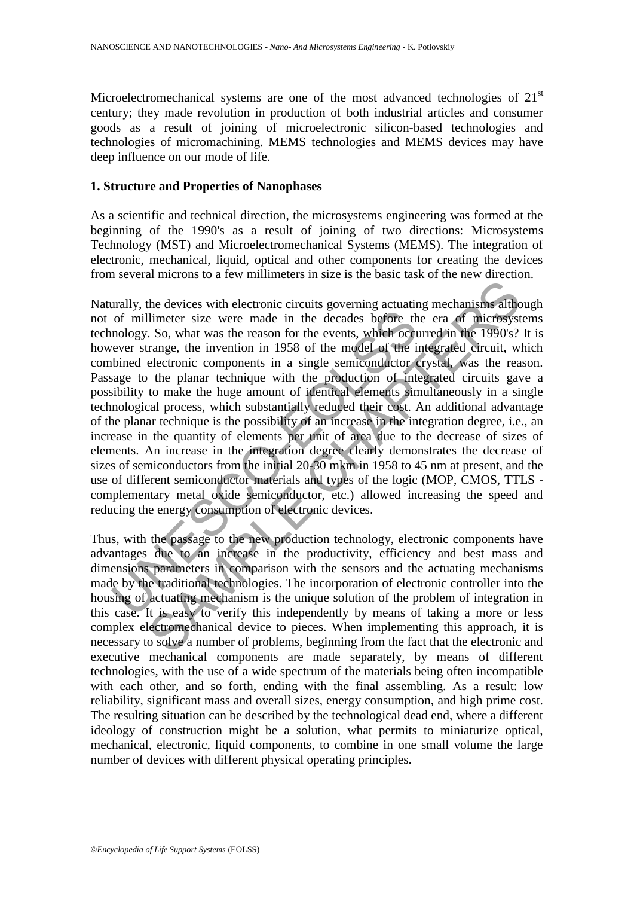Microelectromechanical systems are one of the most advanced technologies of  $21<sup>st</sup>$ century; they made revolution in production of both industrial articles and consumer goods as a result of joining of microelectronic silicon-based technologies and technologies of micromachining. MEMS technologies and MEMS devices may have deep influence on our mode of life.

## **1. Structure and Properties of Nanophases**

As a scientific and technical direction, the microsystems engineering was formed at the beginning of the 1990's as a result of joining of two directions: Microsystems Technology (MST) and Microelectromechanical Systems (MEMS). The integration of electronic, mechanical, liquid, optical and other components for creating the devices from several microns to a few millimeters in size is the basic task of the new direction.

of millimeter size were made in the decades before the mology. So, what was the reason for the events, which occurred the mology. So, what was the reason for the events, which occurred the mology. So, what was the reason f Interior size were made in the decades before the eral of microscopic<br>limeter is covering actuating mechanisms at the limeter size were made in the events, which occurred in the 1990's?<br>trange, the invention in 1958 of the Naturally, the devices with electronic circuits governing actuating mechanisms although not of millimeter size were made in the decades before the era of microsystems technology. So, what was the reason for the events, which occurred in the 1990's? It is however strange, the invention in 1958 of the model of the integrated circuit, which combined electronic components in a single semiconductor crystal, was the reason. Passage to the planar technique with the production of integrated circuits gave a possibility to make the huge amount of identical elements simultaneously in a single technological process, which substantially reduced their cost. An additional advantage of the planar technique is the possibility of an increase in the integration degree, i.e., an increase in the quantity of elements per unit of area due to the decrease of sizes of elements. An increase in the integration degree clearly demonstrates the decrease of sizes of semiconductors from the initial 20-30 mkm in 1958 to 45 nm at present, and the use of different semiconductor materials and types of the logic (MOP, CMOS, TTLS complementary metal oxide semiconductor, etc.) allowed increasing the speed and reducing the energy consumption of electronic devices.

Thus, with the passage to the new production technology, electronic components have advantages due to an increase in the productivity, efficiency and best mass and dimensions parameters in comparison with the sensors and the actuating mechanisms made by the traditional technologies. The incorporation of electronic controller into the housing of actuating mechanism is the unique solution of the problem of integration in this case. It is easy to verify this independently by means of taking a more or less complex electromechanical device to pieces. When implementing this approach, it is necessary to solve a number of problems, beginning from the fact that the electronic and executive mechanical components are made separately, by means of different technologies, with the use of a wide spectrum of the materials being often incompatible with each other, and so forth, ending with the final assembling. As a result: low reliability, significant mass and overall sizes, energy consumption, and high prime cost. The resulting situation can be described by the technological dead end, where a different ideology of construction might be a solution, what permits to miniaturize optical, mechanical, electronic, liquid components, to combine in one small volume the large number of devices with different physical operating principles.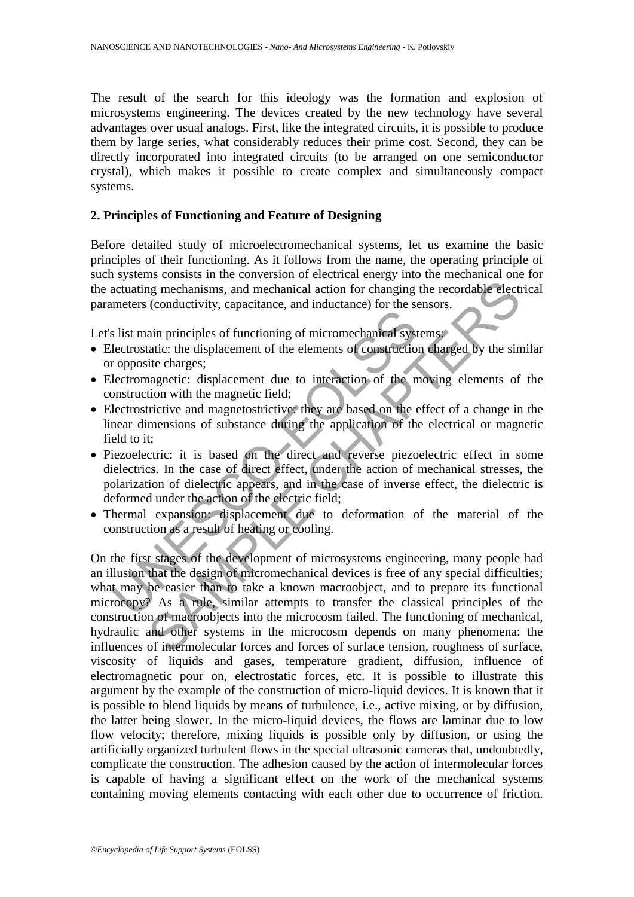The result of the search for this ideology was the formation and explosion of microsystems engineering. The devices created by the new technology have several advantages over usual analogs. First, like the integrated circuits, it is possible to produce them by large series, what considerably reduces their prime cost. Second, they can be directly incorporated into integrated circuits (to be arranged on one semiconductor crystal), which makes it possible to create complex and simultaneously compact systems.

## **2. Principles of Functioning and Feature of Designing**

Before detailed study of microelectromechanical systems, let us examine the basic principles of their functioning. As it follows from the name, the operating principle of such systems consists in the conversion of electrical energy into the mechanical one for the actuating mechanisms, and mechanical action for changing the recordable electrical parameters (conductivity, capacitance, and inductance) for the sensors.

Let's list main principles of functioning of micromechanical systems:

- Electrostatic: the displacement of the elements of construction charged by the similar or opposite charges;
- Electromagnetic: displacement due to interaction of the moving elements of the construction with the magnetic field;
- Electrostrictive and magnetostrictive: they are based on the effect of a change in the linear dimensions of substance during the application of the electrical or magnetic field to it;
- Piezoelectric: it is based on the direct and reverse piezoelectric effect in some dielectrics. In the case of direct effect, under the action of mechanical stresses, the polarization of dielectric appears, and in the case of inverse effect, the dielectric is deformed under the action of the electric field;
- Thermal expansion: displacement due to deformation of the material of the construction as a result of heating or cooling.

Internal containery, vaparamies, and internal construction of the sist main principles of functioning of micromechanical systectrostatic: the displacement due to interaction of the monstruction with the magnetic field;<br>lec ing mechanisms, and mechanical action for changing the recordable electic (conductivity, capacitance, and inductance) for the sensors.<br>
ain principles of functioning of micromechanical systems<br>
ain principles of functionin On the first stages of the development of microsystems engineering, many people had an illusion that the design of micromechanical devices is free of any special difficulties; what may be easier than to take a known macroobject, and to prepare its functional microcopy? As a rule, similar attempts to transfer the classical principles of the construction of macroobjects into the microcosm failed. The functioning of mechanical, hydraulic and other systems in the microcosm depends on many phenomena: the influences of intermolecular forces and forces of surface tension, roughness of surface, viscosity of liquids and gases, temperature gradient, diffusion, influence of electromagnetic pour on, electrostatic forces, etc. It is possible to illustrate this argument by the example of the construction of micro-liquid devices. It is known that it is possible to blend liquids by means of turbulence, i.e., active mixing, or by diffusion, the latter being slower. In the micro-liquid devices, the flows are laminar due to low flow velocity; therefore, mixing liquids is possible only by diffusion, or using the artificially organized turbulent flows in the special ultrasonic cameras that, undoubtedly, complicate the construction. The adhesion caused by the action of intermolecular forces is capable of having a significant effect on the work of the mechanical systems containing moving elements contacting with each other due to occurrence of friction.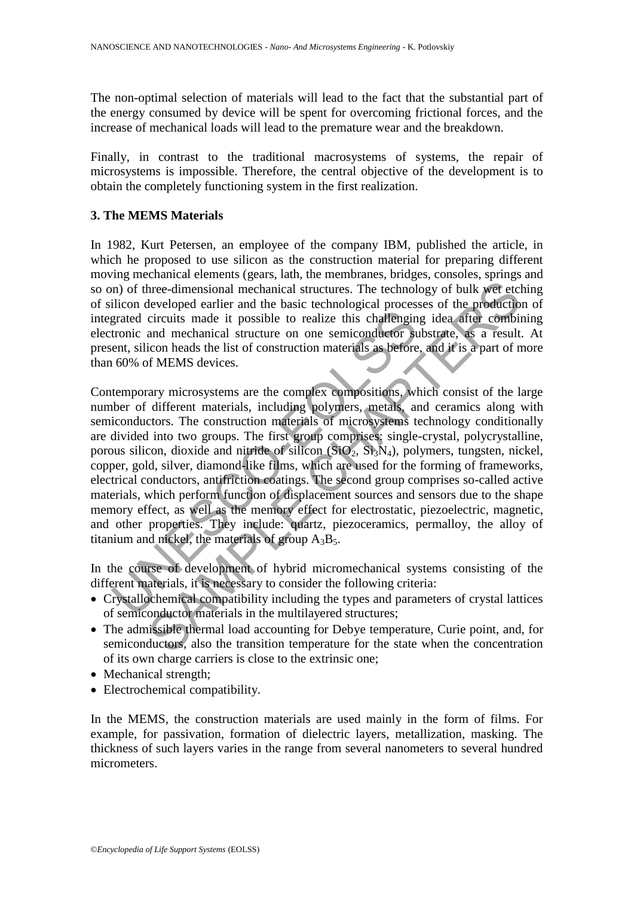The non-optimal selection of materials will lead to the fact that the substantial part of the energy consumed by device will be spent for overcoming frictional forces, and the increase of mechanical loads will lead to the premature wear and the breakdown.

Finally, in contrast to the traditional macrosystems of systems, the repair of microsystems is impossible. Therefore, the central objective of the development is to obtain the completely functioning system in the first realization.

## **3. The MEMS Materials**

In 1982, Kurt Petersen, an employee of the company IBM, published the article, in which he proposed to use silicon as the construction material for preparing different moving mechanical elements (gears, lath, the membranes, bridges, consoles, springs and so on) of three-dimensional mechanical structures. The technology of bulk wet etching of silicon developed earlier and the basic technological processes of the production of integrated circuits made it possible to realize this challenging idea after combining electronic and mechanical structure on one semiconductor substrate, as a result. At present, silicon heads the list of construction materials as before, and it is a part of more than 60% of MEMS devices.

grated circuits made it possible to realize this challengin<br>tronic and mechanical structure on one semiconductor suent, silicon heads the list of construction materials as before<br>the compositions, where of different mater three-dimensional mechanical structures. The technology of bulk wet etcheveloped earlier and the basic technological processes of the production and mechanical structure on one semiconduetor substrate, as a result conditio Contemporary microsystems are the complex compositions, which consist of the large number of different materials, including polymers, metals, and ceramics along with semiconductors. The construction materials of microsystems technology conditionally are divided into two groups. The first group comprises: single-crystal, polycrystalline, porous silicon, dioxide and nitride of silicon  $(SiO<sub>2</sub>, Si<sub>3</sub>N<sub>4</sub>)$ , polymers, tungsten, nickel, copper, gold, silver, diamond-like films, which are used for the forming of frameworks, electrical conductors, antifriction coatings. The second group comprises so-called active materials, which perform function of displacement sources and sensors due to the shape memory effect, as well as the memory effect for electrostatic, piezoelectric, magnetic, and other properties. They include: quartz, piezoceramics, permalloy, the alloy of titanium and nickel, the materials of group  $A_3B_5$ .

In the course of development of hybrid micromechanical systems consisting of the different materials, it is necessary to consider the following criteria:

- Crystallochemical compatibility including the types and parameters of crystal lattices of semiconductor materials in the multilayered structures;
- The admissible thermal load accounting for Debye temperature, Curie point, and, for semiconductors, also the transition temperature for the state when the concentration of its own charge carriers is close to the extrinsic one;
- Mechanical strength:
- Electrochemical compatibility.

In the MEMS, the construction materials are used mainly in the form of films. For example, for passivation, formation of dielectric layers, metallization, masking. The thickness of such layers varies in the range from several nanometers to several hundred micrometers.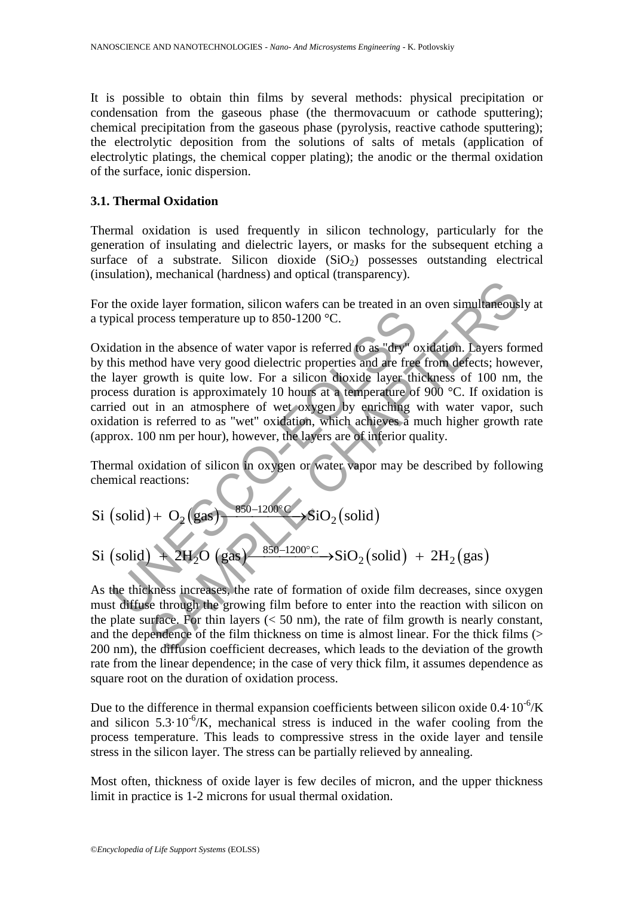It is possible to obtain thin films by several methods: physical precipitation or condensation from the gaseous phase (the thermovacuum or cathode sputtering); chemical precipitation from the gaseous phase (pyrolysis, reactive cathode sputtering); the electrolytic deposition from the solutions of salts of metals (application of electrolytic platings, the chemical copper plating); the anodic or the thermal oxidation of the surface, ionic dispersion.

## **3.1. Thermal Oxidation**

Thermal oxidation is used frequently in silicon technology, particularly for the generation of insulating and dielectric layers, or masks for the subsequent etching a surface of a substrate. Silicon dioxide  $(SiO<sub>2</sub>)$  possesses outstanding electrical (insulation), mechanical (hardness) and optical (transparency).

For the oxide layer formation, silicon wafers can be treated in an oven simultaneously at a typical process temperature up to 850-1200 °C.

pical process temperature up to 850-1200 °C.<br>
dation in the absence of water vapor is referred to as "dry" of<br>
dation in the absence of water vapor is referred to as "dry" of<br>
his method have very good dielectric properti de layer formation, silicon wafers can be treated in an oven simultaneous<br>de layer formation, silicon wafers can be treated in an oven simultaneous<br>cocess temperature up to 850-1200 °C.<br>in the absence of water vapor is re Oxidation in the absence of water vapor is referred to as "dry" oxidation. Layers formed by this method have very good dielectric properties and are free from defects; however, the layer growth is quite low. For a silicon dioxide layer thickness of 100 nm, the process duration is approximately 10 hours at a temperature of 900 °C. If oxidation is carried out in an atmosphere of wet oxygen by enriching with water vapor, such oxidation is referred to as "wet" oxidation, which achieves a much higher growth rate (approx. 100 nm per hour), however, the layers are of inferior quality.

Thermal oxidation of silicon in oxygen or water vapor may be described by following chemical reactions:

chemical reactions:  
\nSi (solid) + O<sub>2</sub> (gas)  
\n
$$
\longrightarrow
$$
 850-1200°C  
\nSiO<sub>2</sub>(solid)

 $\text{(solid)} + 2\text{H}_2\text{O} \text{ (gas)} \longrightarrow \text{SiO}_2 \text{(solid)} + 2\text{H}_2 \text{(gas)}$ Si (solid) + O<sub>2</sub> (gas)  $\frac{850-1200^{\circ}C}{850-1200^{\circ}C}$  SiO<sub>2</sub> (solid) <br>Si (solid) + 2H<sub>2</sub>O (gas)  $\frac{850-1200^{\circ}C}{850-1200^{\circ}C}$  SiO<sub>2</sub> (solid) + 2H<sub>2</sub> (gas)  $\longrightarrow \text{SiO}_2(\text{sol})$ <br>-1200°C  $\longrightarrow \text{SiO}_2$  $- O<sub>2</sub>(gas)$  850-1200°C SiO<sub>2</sub>(solid)<br>+ 2H<sub>2</sub>O (gas) 850-1200°C SiO<sub>2</sub>(solid) + 2H<sub>2</sub>(gas)

As the thickness increases, the rate of formation of oxide film decreases, since oxygen must diffuse through the growing film before to enter into the reaction with silicon on the plate surface. For thin layers  $(< 50 \text{ nm})$ , the rate of film growth is nearly constant, and the dependence of the film thickness on time is almost linear. For the thick films (> 200 nm), the diffusion coefficient decreases, which leads to the deviation of the growth rate from the linear dependence; in the case of very thick film, it assumes dependence as square root on the duration of oxidation process.

Due to the difference in thermal expansion coefficients between silicon oxide  $0.4 \cdot 10^{-6}$ /K and silicon  $5.3 \cdot 10^{-6}$ /K, mechanical stress is induced in the wafer cooling from the process temperature. This leads to compressive stress in the oxide layer and tensile stress in the silicon layer. The stress can be partially relieved by annealing.

Most often, thickness of oxide layer is few deciles of micron, and the upper thickness limit in practice is 1-2 microns for usual thermal oxidation.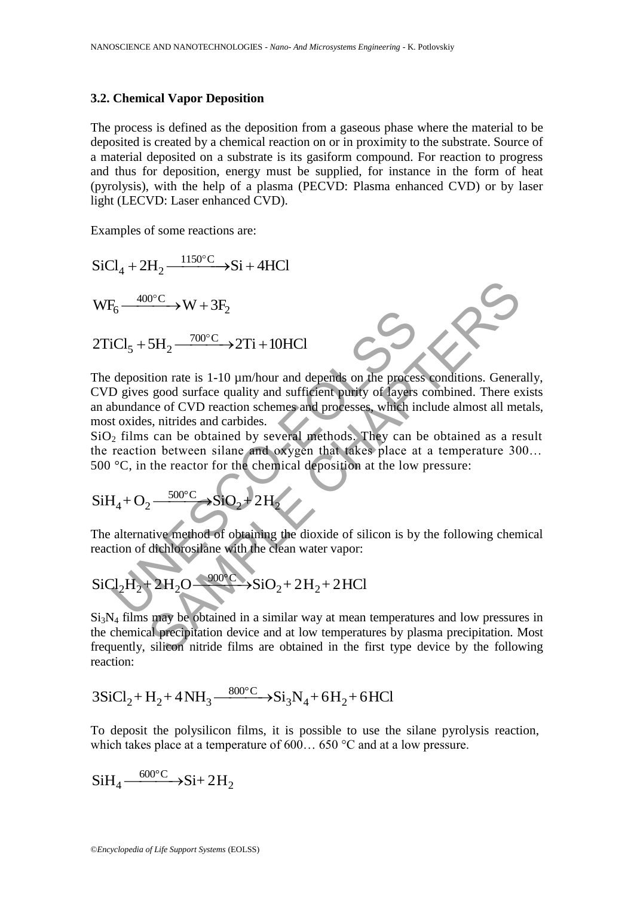#### **3.2. Chemical Vapor Deposition**

The process is defined as the deposition from a gaseous phase where the material to be deposited is created by a chemical reaction on or in proximity to the substrate. Source of a material deposited on a substrate is its gasiform compound. For reaction to progress and thus for deposition, energy must be supplied, for instance in the form of heat (pyrolysis), with the help of a plasma (PECVD: Plasma enhanced CVD) or by laser light (LECVD: Laser enhanced CVD).

Examples of some reactions are:

SiCl<sub>4</sub> + 2H<sub>2</sub> 
$$
\xrightarrow{1150^{\circ}\text{C}}
$$
  $\rightarrow$  Si + 4HCl  
\nWF<sub>6</sub>  $\xrightarrow{400^{\circ}\text{C}}$  W + 3F<sub>2</sub>  
\n2TiCl<sub>5</sub> + 5H<sub>2</sub>  $\xrightarrow{700^{\circ}\text{C}}$  → 2Ti + 10HCl  
\nThe deposition rate is 1-10 μm/hour and depends on the process conditions. General  
\nCVD gives good surface quality and sufficient purity of layers combined. There ex  
\nan abundance of CVD reaction schemes and processes, which include almost all met  
\nmost oxides, nitrides and carbides.  
\nSiO<sub>2</sub> films can be obtained by several methods. They can be obtained as a res  
\nthe reaction between silane and oxygen that takes place at a temperature 300  
\n500 °C, in the reactor for the chemical deposition at the low pressure:  
\nSiH<sub>4</sub> + O<sub>2</sub>  $\xrightarrow{500^{\circ}\text{C}}$  SiO<sub>2</sub> + 2H<sub>2</sub>  
\nThe alternative method of obtaining the dioxide of silicon is by the following chemi  
\nreaction of dichlorosilane with the clean water vapor:  
\nSiCl<sub>2</sub>H<sub>2</sub> + 2H<sub>2</sub>O  $\xrightarrow{900^{\circ}\text{C}}$  SiO<sub>2</sub> + 2H<sub>2</sub> + 2HCl  
\nSi<sub>3</sub>N<sub>4</sub> films may be obtained in a similar way at mean temperatures and low pressures  
\nthe chemical precipitation device and at low temperatures by plasma precipitation. M  
\nfrequency, silicon nitride films are obtained in the first type device by the followi

The deposition rate is 1-10  $\mu$ m/hour and depends on the process conditions. Generally, CVD gives good surface quality and sufficient purity of layers combined. There exists an abundance of CVD reaction schemes and processes, which include almost all metals, most oxides, nitrides and carbides.

 $SiO<sub>2</sub>$  films can be obtained by several methods. They can be obtained as a result the reaction between silane and oxygen that takes place at a temperature 300… 500 °C, in the reactor for the chemical deposition at the low pressure:

$$
SiH_4 + O_2 \xrightarrow{500^\circ C} SiO_2 + 2H_2
$$

The alternative method of obtaining the dioxide of silicon is by the following chemical

reaction of dichlorosilane with the clean water vapor:  
\nSiCl<sub>2</sub>H<sub>2</sub>+2H<sub>2</sub>O
$$
\longrightarrow
$$
SiO<sub>2</sub>+2H<sub>2</sub>+2HCl

Si3N<sup>4</sup> films may be obtained in a similar way at mean temperatures and low pressures in the chemical precipitation device and at low temperatures by plasma precipitation. Most frequently, silicon nitride films are obtained in the first type device by the following reaction:

reaction:  
\n
$$
3SiCl_2 + H_2 + 4NH_3 \xrightarrow{800^\circ C} 8i_3N_4 + 6H_2 + 6HCl
$$

To deposit the polysilicon films, it is possible to use the silane pyrolysis reaction, which takes place at a temperature of 600... 650 °C and at a low pressure.

$$
SiH_4 \xrightarrow{600^{\circ}C} \text{Si} + 2H_2
$$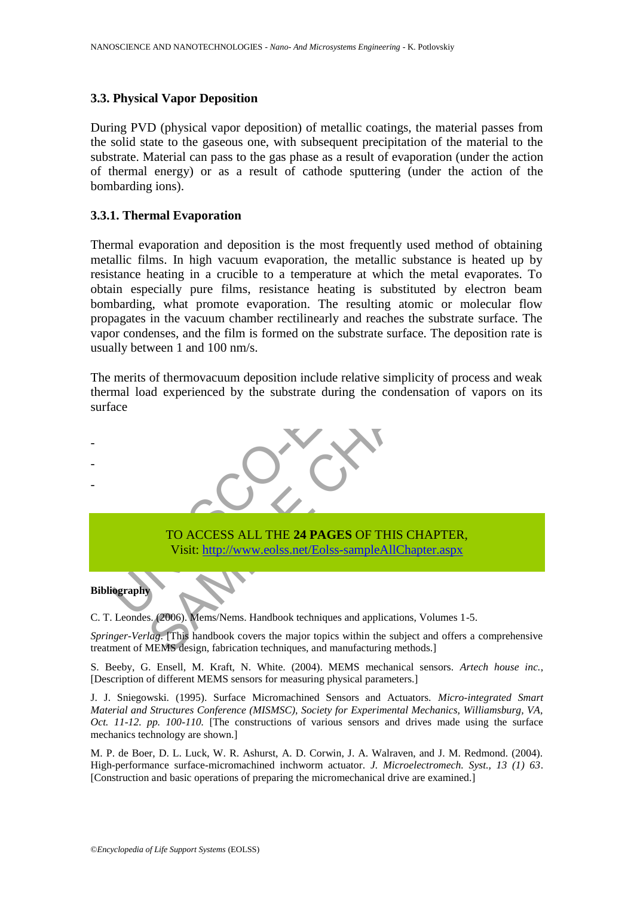### **3.3. Physical Vapor Deposition**

During PVD (physical vapor deposition) of metallic coatings, the material passes from the solid state to the gaseous one, with subsequent precipitation of the material to the substrate. Material can pass to the gas phase as a result of evaporation (under the action of thermal energy) or as a result of cathode sputtering (under the action of the bombarding ions).

#### **3.3.1. Thermal Evaporation**

Thermal evaporation and deposition is the most frequently used method of obtaining metallic films. In high vacuum evaporation, the metallic substance is heated up by resistance heating in a crucible to a temperature at which the metal evaporates. To obtain especially pure films, resistance heating is substituted by electron beam bombarding, what promote evaporation. The resulting atomic or molecular flow propagates in the vacuum chamber rectilinearly and reaches the substrate surface. The vapor condenses, and the film is formed on the substrate surface. The deposition rate is usually between 1 and 100 nm/s.

The merits of thermovacuum deposition include relative simplicity of process and weak thermal load experienced by the substrate during the condensation of vapors on its surface



C. T. Leondes. (2006). Mems/Nems. Handbook techniques and applications, Volumes 1-5.

*Springer-Verlag*. [This handbook covers the major topics within the subject and offers a comprehensive treatment of MEMS design, fabrication techniques, and manufacturing methods.]

S. Beeby, G. Ensell, M. Kraft, N. White. (2004). MEMS mechanical sensors. *Artech house inc.*, [Description of different MEMS sensors for measuring physical parameters.]

J. J. Sniegowski. (1995). Surface Micromachined Sensors and Actuators. *Micro-integrated Smart Material and Structures Conference (MISMSC), Society for Experimental Mechanics, Williamsburg, VA, Oct. 11-12. pp. 100-110.* [The constructions of various sensors and drives made using the surface mechanics technology are shown.]

M. P. de Boer, D. L. Luck, W. R. Ashurst, A. D. Corwin, J. A. Walraven, and J. M. Redmond. (2004). High-performance surface-micromachined inchworm actuator. *J. Microelectromech. Syst., 13 (1) 63*. [Construction and basic operations of preparing the micromechanical drive are examined.]